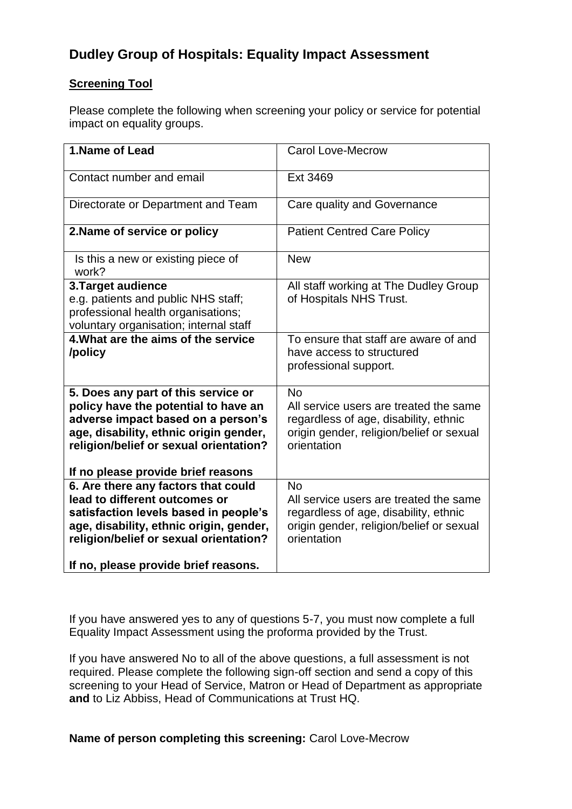## **Dudley Group of Hospitals: Equality Impact Assessment**

## **Screening Tool**

Please complete the following when screening your policy or service for potential impact on equality groups.

| 1.Name of Lead                                                                | <b>Carol Love-Mecrow</b>                           |
|-------------------------------------------------------------------------------|----------------------------------------------------|
| Contact number and email                                                      | Ext 3469                                           |
| Directorate or Department and Team                                            | Care quality and Governance                        |
| 2. Name of service or policy                                                  | <b>Patient Centred Care Policy</b>                 |
| Is this a new or existing piece of<br>work?                                   | <b>New</b>                                         |
| 3. Target audience                                                            | All staff working at The Dudley Group              |
| e.g. patients and public NHS staff;                                           | of Hospitals NHS Trust.                            |
| professional health organisations;                                            |                                                    |
| voluntary organisation; internal staff<br>4. What are the aims of the service | To ensure that staff are aware of and              |
| /policy                                                                       | have access to structured<br>professional support. |
| 5. Does any part of this service or                                           | <b>No</b>                                          |
| policy have the potential to have an                                          | All service users are treated the same             |
| adverse impact based on a person's                                            | regardless of age, disability, ethnic              |
| age, disability, ethnic origin gender,                                        | origin gender, religion/belief or sexual           |
| religion/belief or sexual orientation?                                        | orientation                                        |
| If no please provide brief reasons                                            |                                                    |
| 6. Are there any factors that could                                           | <b>No</b>                                          |
| lead to different outcomes or                                                 | All service users are treated the same             |
| satisfaction levels based in people's                                         | regardless of age, disability, ethnic              |
| age, disability, ethnic origin, gender,                                       | origin gender, religion/belief or sexual           |
| religion/belief or sexual orientation?                                        | orientation                                        |
| If no, please provide brief reasons.                                          |                                                    |

If you have answered yes to any of questions 5-7, you must now complete a full Equality Impact Assessment using the proforma provided by the Trust.

If you have answered No to all of the above questions, a full assessment is not required. Please complete the following sign-off section and send a copy of this screening to your Head of Service, Matron or Head of Department as appropriate **and** to Liz Abbiss, Head of Communications at Trust HQ.

**Name of person completing this screening:** Carol Love-Mecrow